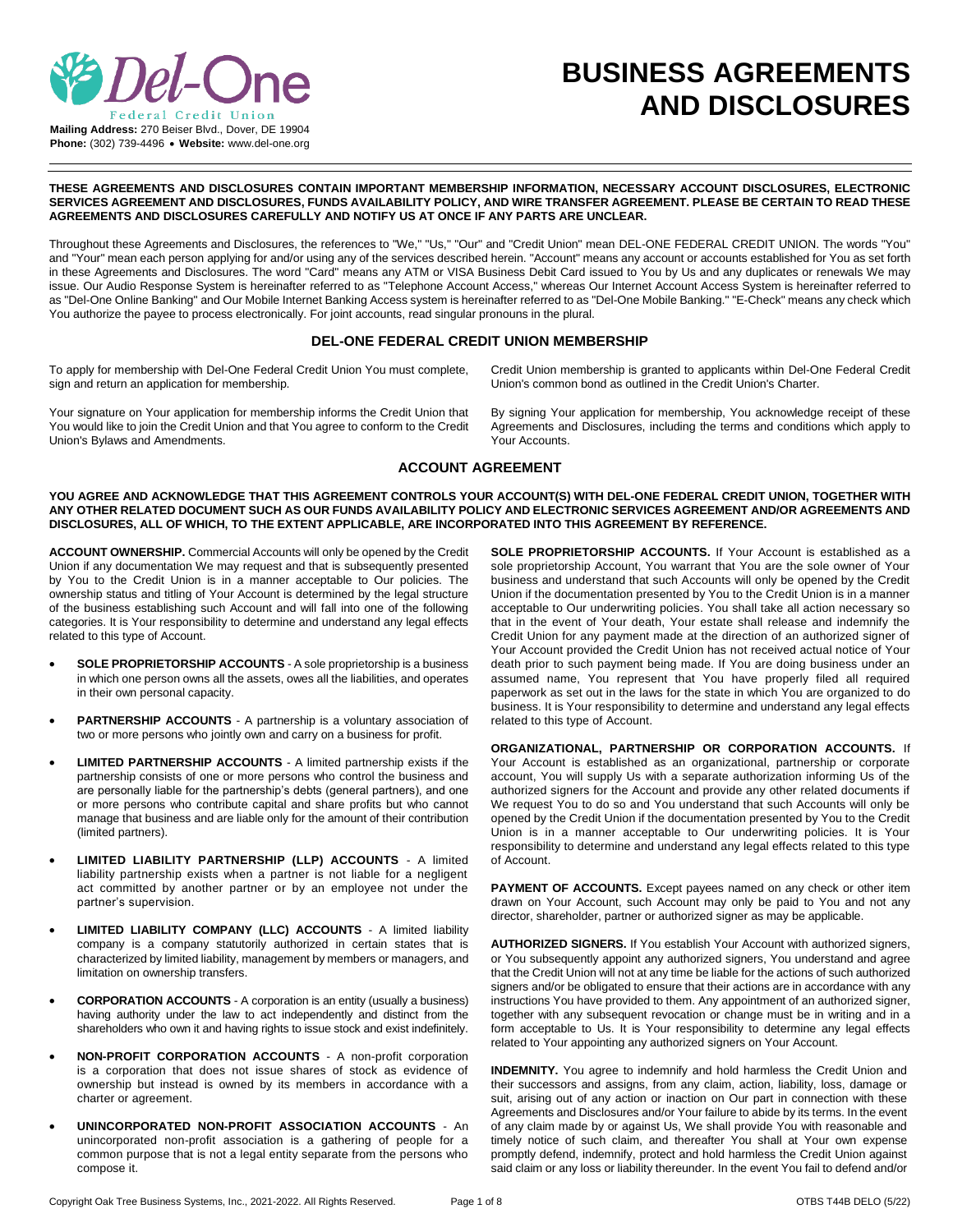

# **BUSINESS AGREEMENTS AND DISCLOSURES**

**THESE AGREEMENTS AND DISCLOSURES CONTAIN IMPORTANT MEMBERSHIP INFORMATION, NECESSARY ACCOUNT DISCLOSURES, ELECTRONIC SERVICES AGREEMENT AND DISCLOSURES, FUNDS AVAILABILITY POLICY, AND WIRE TRANSFER AGREEMENT. PLEASE BE CERTAIN TO READ THESE AGREEMENTS AND DISCLOSURES CAREFULLY AND NOTIFY US AT ONCE IF ANY PARTS ARE UNCLEAR.**

Throughout these Agreements and Disclosures, the references to "We," "Us," "Our" and "Credit Union" mean DEL-ONE FEDERAL CREDIT UNION. The words "You" and "Your" mean each person applying for and/or using any of the services described herein. "Account" means any account or accounts established for You as set forth in these Agreements and Disclosures. The word "Card" means any ATM or VISA Business Debit Card issued to You by Us and any duplicates or renewals We may issue. Our Audio Response System is hereinafter referred to as "Telephone Account Access," whereas Our Internet Account Access System is hereinafter referred to as "Del-One Online Banking" and Our Mobile Internet Banking Access system is hereinafter referred to as "Del-One Mobile Banking." "E-Check" means any check which You authorize the payee to process electronically. For joint accounts, read singular pronouns in the plural.

# **DEL-ONE FEDERAL CREDIT UNION MEMBERSHIP**

To apply for membership with Del-One Federal Credit Union You must complete, sign and return an application for membership.

Your signature on Your application for membership informs the Credit Union that You would like to join the Credit Union and that You agree to conform to the Credit Union's Bylaws and Amendments.

Credit Union membership is granted to applicants within Del-One Federal Credit Union's common bond as outlined in the Credit Union's Charter.

By signing Your application for membership, You acknowledge receipt of these Agreements and Disclosures, including the terms and conditions which apply to Your Accounts.

## **ACCOUNT AGREEMENT**

**YOU AGREE AND ACKNOWLEDGE THAT THIS AGREEMENT CONTROLS YOUR ACCOUNT(S) WITH DEL-ONE FEDERAL CREDIT UNION, TOGETHER WITH ANY OTHER RELATED DOCUMENT SUCH AS OUR FUNDS AVAILABILITY POLICY AND ELECTRONIC SERVICES AGREEMENT AND/OR AGREEMENTS AND DISCLOSURES, ALL OF WHICH, TO THE EXTENT APPLICABLE, ARE INCORPORATED INTO THIS AGREEMENT BY REFERENCE.**

**ACCOUNT OWNERSHIP.** Commercial Accounts will only be opened by the Credit Union if any documentation We may request and that is subsequently presented by You to the Credit Union is in a manner acceptable to Our policies. The ownership status and titling of Your Account is determined by the legal structure of the business establishing such Account and will fall into one of the following categories. It is Your responsibility to determine and understand any legal effects related to this type of Account.

- **SOLE PROPRIETORSHIP ACCOUNTS** A sole proprietorship is a business in which one person owns all the assets, owes all the liabilities, and operates in their own personal capacity.
- **PARTNERSHIP ACCOUNTS** A partnership is a voluntary association of two or more persons who jointly own and carry on a business for profit.
- **LIMITED PARTNERSHIP ACCOUNTS** A limited partnership exists if the partnership consists of one or more persons who control the business and are personally liable for the partnership's debts (general partners), and one or more persons who contribute capital and share profits but who cannot manage that business and are liable only for the amount of their contribution (limited partners).
- **LIMITED LIABILITY PARTNERSHIP (LLP) ACCOUNTS** A limited liability partnership exists when a partner is not liable for a negligent act committed by another partner or by an employee not under the partner's supervision.
- **LIMITED LIABILITY COMPANY (LLC) ACCOUNTS**  A limited liability company is a company statutorily authorized in certain states that is characterized by limited liability, management by members or managers, and limitation on ownership transfers.
- **CORPORATION ACCOUNTS** A corporation is an entity (usually a business) having authority under the law to act independently and distinct from the shareholders who own it and having rights to issue stock and exist indefinitely.
- **NON-PROFIT CORPORATION ACCOUNTS**  A non-profit corporation is a corporation that does not issue shares of stock as evidence of ownership but instead is owned by its members in accordance with a charter or agreement.
- **UNINCORPORATED NON-PROFIT ASSOCIATION ACCOUNTS** An unincorporated non-profit association is a gathering of people for a common purpose that is not a legal entity separate from the persons who compose it.

**SOLE PROPRIETORSHIP ACCOUNTS.** If Your Account is established as a sole proprietorship Account, You warrant that You are the sole owner of Your business and understand that such Accounts will only be opened by the Credit Union if the documentation presented by You to the Credit Union is in a manner acceptable to Our underwriting policies. You shall take all action necessary so that in the event of Your death, Your estate shall release and indemnify the Credit Union for any payment made at the direction of an authorized signer of Your Account provided the Credit Union has not received actual notice of Your death prior to such payment being made. If You are doing business under an assumed name, You represent that You have properly filed all required paperwork as set out in the laws for the state in which You are organized to do business. It is Your responsibility to determine and understand any legal effects related to this type of Account.

**ORGANIZATIONAL, PARTNERSHIP OR CORPORATION ACCOUNTS.** If Your Account is established as an organizational, partnership or corporate account, You will supply Us with a separate authorization informing Us of the authorized signers for the Account and provide any other related documents if We request You to do so and You understand that such Accounts will only be opened by the Credit Union if the documentation presented by You to the Credit Union is in a manner acceptable to Our underwriting policies. It is Your responsibility to determine and understand any legal effects related to this type of Account.

PAYMENT OF ACCOUNTS. Except payees named on any check or other item drawn on Your Account, such Account may only be paid to You and not any director, shareholder, partner or authorized signer as may be applicable.

**AUTHORIZED SIGNERS.** If You establish Your Account with authorized signers, or You subsequently appoint any authorized signers, You understand and agree that the Credit Union will not at any time be liable for the actions of such authorized signers and/or be obligated to ensure that their actions are in accordance with any instructions You have provided to them. Any appointment of an authorized signer, together with any subsequent revocation or change must be in writing and in a form acceptable to Us. It is Your responsibility to determine any legal effects related to Your appointing any authorized signers on Your Account.

**INDEMNITY.** You agree to indemnify and hold harmless the Credit Union and their successors and assigns, from any claim, action, liability, loss, damage or suit, arising out of any action or inaction on Our part in connection with these Agreements and Disclosures and/or Your failure to abide by its terms. In the event of any claim made by or against Us, We shall provide You with reasonable and timely notice of such claim, and thereafter You shall at Your own expense promptly defend, indemnify, protect and hold harmless the Credit Union against said claim or any loss or liability thereunder. In the event You fail to defend and/or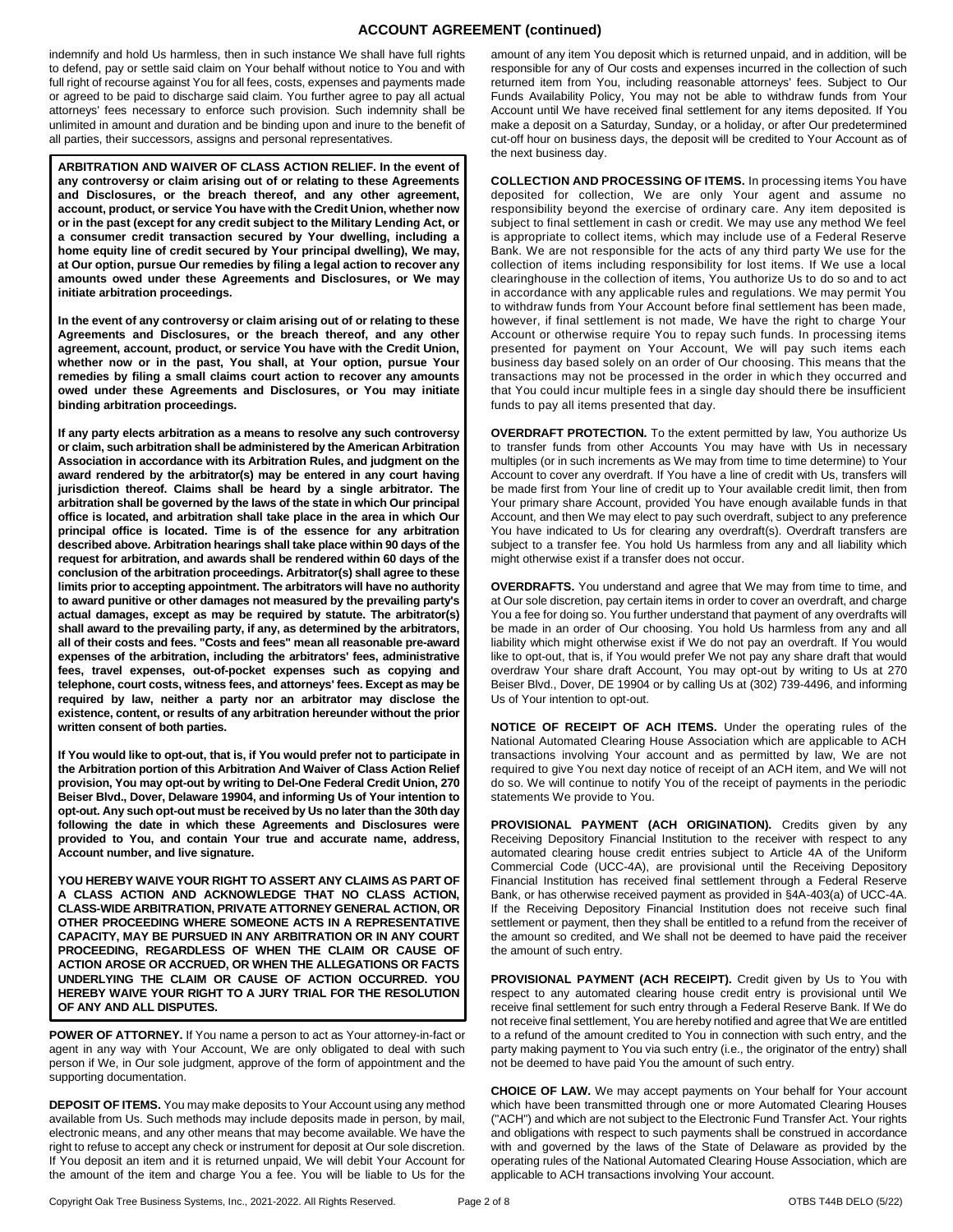# **ACCOUNT AGREEMENT (continued)**

indemnify and hold Us harmless, then in such instance We shall have full rights to defend, pay or settle said claim on Your behalf without notice to You and with full right of recourse against You for all fees, costs, expenses and payments made or agreed to be paid to discharge said claim. You further agree to pay all actual attorneys' fees necessary to enforce such provision. Such indemnity shall be unlimited in amount and duration and be binding upon and inure to the benefit of all parties, their successors, assigns and personal representatives.

**ARBITRATION AND WAIVER OF CLASS ACTION RELIEF. In the event of any controversy or claim arising out of or relating to these Agreements and Disclosures, or the breach thereof, and any other agreement, account, product, or service You have with the Credit Union, whether now or in the past (except for any credit subject to the Military Lending Act, or a consumer credit transaction secured by Your dwelling, including a home equity line of credit secured by Your principal dwelling), We may, at Our option, pursue Our remedies by filing a legal action to recover any amounts owed under these Agreements and Disclosures, or We may initiate arbitration proceedings.** 

**In the event of any controversy or claim arising out of or relating to these Agreements and Disclosures, or the breach thereof, and any other agreement, account, product, or service You have with the Credit Union, whether now or in the past, You shall, at Your option, pursue Your remedies by filing a small claims court action to recover any amounts owed under these Agreements and Disclosures, or You may initiate binding arbitration proceedings.**

**If any party elects arbitration as a means to resolve any such controversy or claim, such arbitration shall be administered by the American Arbitration Association in accordance with its Arbitration Rules, and judgment on the award rendered by the arbitrator(s) may be entered in any court having jurisdiction thereof. Claims shall be heard by a single arbitrator. The arbitration shall be governed by the laws of the state in which Our principal office is located, and arbitration shall take place in the area in which Our principal office is located. Time is of the essence for any arbitration described above. Arbitration hearings shall take place within 90 days of the request for arbitration, and awards shall be rendered within 60 days of the conclusion of the arbitration proceedings. Arbitrator(s) shall agree to these limits prior to accepting appointment. The arbitrators will have no authority to award punitive or other damages not measured by the prevailing party's actual damages, except as may be required by statute. The arbitrator(s) shall award to the prevailing party, if any, as determined by the arbitrators, all of their costs and fees. "Costs and fees" mean all reasonable pre-award expenses of the arbitration, including the arbitrators' fees, administrative fees, travel expenses, out-of-pocket expenses such as copying and telephone, court costs, witness fees, and attorneys' fees. Except as may be required by law, neither a party nor an arbitrator may disclose the existence, content, or results of any arbitration hereunder without the prior written consent of both parties.** 

**If You would like to opt-out, that is, if You would prefer not to participate in the Arbitration portion of this Arbitration And Waiver of Class Action Relief provision, You may opt-out by writing to Del-One Federal Credit Union, 270 Beiser Blvd., Dover, Delaware 19904, and informing Us of Your intention to opt-out. Any such opt-out must be received by Us no later than the 30th day following the date in which these Agreements and Disclosures were provided to You, and contain Your true and accurate name, address, Account number, and live signature.**

**YOU HEREBY WAIVE YOUR RIGHT TO ASSERT ANY CLAIMS AS PART OF A CLASS ACTION AND ACKNOWLEDGE THAT NO CLASS ACTION, CLASS-WIDE ARBITRATION, PRIVATE ATTORNEY GENERAL ACTION, OR OTHER PROCEEDING WHERE SOMEONE ACTS IN A REPRESENTATIVE CAPACITY, MAY BE PURSUED IN ANY ARBITRATION OR IN ANY COURT PROCEEDING, REGARDLESS OF WHEN THE CLAIM OR CAUSE OF ACTION AROSE OR ACCRUED, OR WHEN THE ALLEGATIONS OR FACTS UNDERLYING THE CLAIM OR CAUSE OF ACTION OCCURRED. YOU HEREBY WAIVE YOUR RIGHT TO A JURY TRIAL FOR THE RESOLUTION OF ANY AND ALL DISPUTES.**

**POWER OF ATTORNEY.** If You name a person to act as Your attorney-in-fact or agent in any way with Your Account, We are only obligated to deal with such person if We, in Our sole judgment, approve of the form of appointment and the supporting documentation.

**DEPOSIT OF ITEMS.** You may make deposits to Your Account using any method available from Us. Such methods may include deposits made in person, by mail, electronic means, and any other means that may become available. We have the right to refuse to accept any check or instrument for deposit at Our sole discretion. If You deposit an item and it is returned unpaid, We will debit Your Account for the amount of the item and charge You a fee. You will be liable to Us for the amount of any item You deposit which is returned unpaid, and in addition, will be responsible for any of Our costs and expenses incurred in the collection of such returned item from You, including reasonable attorneys' fees. Subject to Our Funds Availability Policy, You may not be able to withdraw funds from Your Account until We have received final settlement for any items deposited. If You make a deposit on a Saturday, Sunday, or a holiday, or after Our predetermined cut-off hour on business days, the deposit will be credited to Your Account as of the next business day.

**COLLECTION AND PROCESSING OF ITEMS.** In processing items You have deposited for collection, We are only Your agent and assume no responsibility beyond the exercise of ordinary care. Any item deposited is subject to final settlement in cash or credit. We may use any method We feel is appropriate to collect items, which may include use of a Federal Reserve Bank. We are not responsible for the acts of any third party We use for the collection of items including responsibility for lost items. If We use a local clearinghouse in the collection of items, You authorize Us to do so and to act in accordance with any applicable rules and regulations. We may permit You to withdraw funds from Your Account before final settlement has been made, however, if final settlement is not made, We have the right to charge Your Account or otherwise require You to repay such funds. In processing items presented for payment on Your Account, We will pay such items each business day based solely on an order of Our choosing. This means that the transactions may not be processed in the order in which they occurred and that You could incur multiple fees in a single day should there be insufficient funds to pay all items presented that day.

**OVERDRAFT PROTECTION.** To the extent permitted by law, You authorize Us to transfer funds from other Accounts You may have with Us in necessary multiples (or in such increments as We may from time to time determine) to Your Account to cover any overdraft. If You have a line of credit with Us, transfers will be made first from Your line of credit up to Your available credit limit, then from Your primary share Account, provided You have enough available funds in that Account, and then We may elect to pay such overdraft, subject to any preference You have indicated to Us for clearing any overdraft(s). Overdraft transfers are subject to a transfer fee. You hold Us harmless from any and all liability which might otherwise exist if a transfer does not occur.

**OVERDRAFTS.** You understand and agree that We may from time to time, and at Our sole discretion, pay certain items in order to cover an overdraft, and charge You a fee for doing so. You further understand that payment of any overdrafts will be made in an order of Our choosing. You hold Us harmless from any and all liability which might otherwise exist if We do not pay an overdraft. If You would like to opt-out, that is, if You would prefer We not pay any share draft that would overdraw Your share draft Account, You may opt-out by writing to Us at 270 Beiser Blvd., Dover, DE 19904 or by calling Us at (302) 739-4496, and informing Us of Your intention to opt-out.

**NOTICE OF RECEIPT OF ACH ITEMS.** Under the operating rules of the National Automated Clearing House Association which are applicable to ACH transactions involving Your account and as permitted by law, We are not required to give You next day notice of receipt of an ACH item, and We will not do so. We will continue to notify You of the receipt of payments in the periodic statements We provide to You.

PROVISIONAL PAYMENT (ACH ORIGINATION). Credits given by any Receiving Depository Financial Institution to the receiver with respect to any automated clearing house credit entries subject to Article 4A of the Uniform Commercial Code (UCC-4A), are provisional until the Receiving Depository Financial Institution has received final settlement through a Federal Reserve Bank, or has otherwise received payment as provided in §4A-403(a) of UCC-4A. If the Receiving Depository Financial Institution does not receive such final settlement or payment, then they shall be entitled to a refund from the receiver of the amount so credited, and We shall not be deemed to have paid the receiver the amount of such entry.

PROVISIONAL PAYMENT (ACH RECEIPT). Credit given by Us to You with respect to any automated clearing house credit entry is provisional until We receive final settlement for such entry through a Federal Reserve Bank. If We do not receive final settlement, You are hereby notified and agree that We are entitled to a refund of the amount credited to You in connection with such entry, and the party making payment to You via such entry (i.e., the originator of the entry) shall not be deemed to have paid You the amount of such entry.

**CHOICE OF LAW.** We may accept payments on Your behalf for Your account which have been transmitted through one or more Automated Clearing Houses ("ACH") and which are not subject to the Electronic Fund Transfer Act. Your rights and obligations with respect to such payments shall be construed in accordance with and governed by the laws of the State of Delaware as provided by the operating rules of the National Automated Clearing House Association, which are applicable to ACH transactions involving Your account.

Copyright Oak Tree Business Systems, Inc., 2021-2022. All Rights Reserved. Page 2 of 8 COVERS T44B DELO (5/22)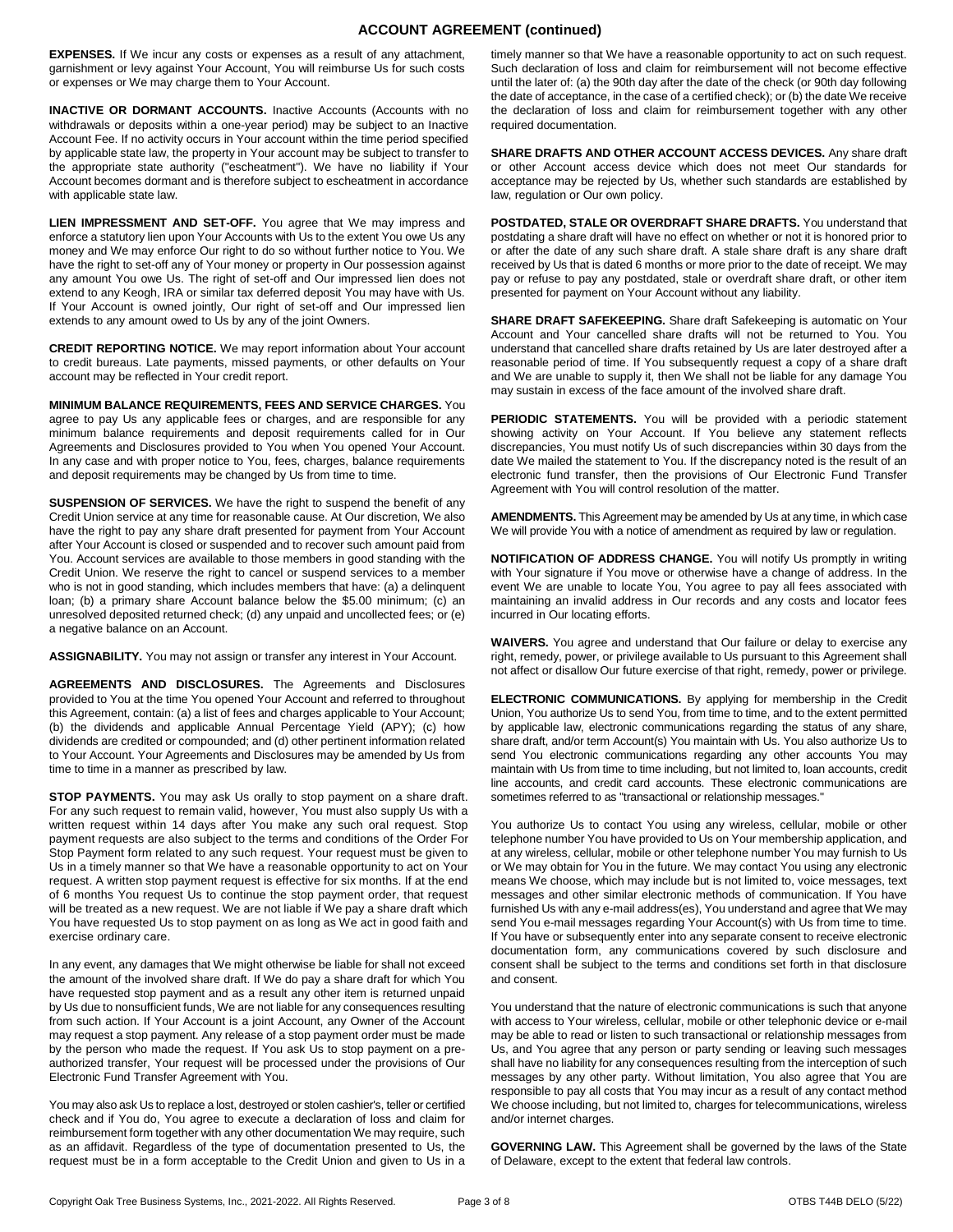## **ACCOUNT AGREEMENT (continued)**

**EXPENSES.** If We incur any costs or expenses as a result of any attachment, garnishment or levy against Your Account, You will reimburse Us for such costs or expenses or We may charge them to Your Account.

**INACTIVE OR DORMANT ACCOUNTS.** Inactive Accounts (Accounts with no withdrawals or deposits within a one-year period) may be subject to an Inactive Account Fee. If no activity occurs in Your account within the time period specified by applicable state law, the property in Your account may be subject to transfer to the appropriate state authority ("escheatment"). We have no liability if Your Account becomes dormant and is therefore subject to escheatment in accordance with applicable state law.

**LIEN IMPRESSMENT AND SET-OFF.** You agree that We may impress and enforce a statutory lien upon Your Accounts with Us to the extent You owe Us any money and We may enforce Our right to do so without further notice to You. We have the right to set-off any of Your money or property in Our possession against any amount You owe Us. The right of set-off and Our impressed lien does not extend to any Keogh, IRA or similar tax deferred deposit You may have with Us. If Your Account is owned jointly, Our right of set-off and Our impressed lien extends to any amount owed to Us by any of the joint Owners.

**CREDIT REPORTING NOTICE.** We may report information about Your account to credit bureaus. Late payments, missed payments, or other defaults on Your account may be reflected in Your credit report.

**MINIMUM BALANCE REQUIREMENTS, FEES AND SERVICE CHARGES.** You agree to pay Us any applicable fees or charges, and are responsible for any minimum balance requirements and deposit requirements called for in Our Agreements and Disclosures provided to You when You opened Your Account. In any case and with proper notice to You, fees, charges, balance requirements and deposit requirements may be changed by Us from time to time.

**SUSPENSION OF SERVICES.** We have the right to suspend the benefit of any Credit Union service at any time for reasonable cause. At Our discretion, We also have the right to pay any share draft presented for payment from Your Account after Your Account is closed or suspended and to recover such amount paid from You. Account services are available to those members in good standing with the Credit Union. We reserve the right to cancel or suspend services to a member who is not in good standing, which includes members that have: (a) a delinquent loan; (b) a primary share Account balance below the \$5.00 minimum; (c) an unresolved deposited returned check; (d) any unpaid and uncollected fees; or (e) a negative balance on an Account.

**ASSIGNABILITY.** You may not assign or transfer any interest in Your Account.

**AGREEMENTS AND DISCLOSURES.** The Agreements and Disclosures provided to You at the time You opened Your Account and referred to throughout this Agreement, contain: (a) a list of fees and charges applicable to Your Account; (b) the dividends and applicable Annual Percentage Yield (APY); (c) how dividends are credited or compounded; and (d) other pertinent information related to Your Account. Your Agreements and Disclosures may be amended by Us from time to time in a manner as prescribed by law.

**STOP PAYMENTS.** You may ask Us orally to stop payment on a share draft. For any such request to remain valid, however, You must also supply Us with a written request within 14 days after You make any such oral request. Stop payment requests are also subject to the terms and conditions of the Order For Stop Payment form related to any such request. Your request must be given to Us in a timely manner so that We have a reasonable opportunity to act on Your request. A written stop payment request is effective for six months. If at the end of 6 months You request Us to continue the stop payment order, that request will be treated as a new request. We are not liable if We pay a share draft which You have requested Us to stop payment on as long as We act in good faith and exercise ordinary care.

In any event, any damages that We might otherwise be liable for shall not exceed the amount of the involved share draft. If We do pay a share draft for which You have requested stop payment and as a result any other item is returned unpaid by Us due to nonsufficient funds, We are not liable for any consequences resulting from such action. If Your Account is a joint Account, any Owner of the Account may request a stop payment. Any release of a stop payment order must be made by the person who made the request. If You ask Us to stop payment on a preauthorized transfer, Your request will be processed under the provisions of Our Electronic Fund Transfer Agreement with You.

You may also ask Us to replace a lost, destroyed or stolen cashier's, teller or certified check and if You do, You agree to execute a declaration of loss and claim for reimbursement form together with any other documentation We may require, such as an affidavit. Regardless of the type of documentation presented to Us, the request must be in a form acceptable to the Credit Union and given to Us in a timely manner so that We have a reasonable opportunity to act on such request. Such declaration of loss and claim for reimbursement will not become effective until the later of: (a) the 90th day after the date of the check (or 90th day following the date of acceptance, in the case of a certified check); or (b) the date We receive the declaration of loss and claim for reimbursement together with any other required documentation.

**SHARE DRAFTS AND OTHER ACCOUNT ACCESS DEVICES.** Any share draft or other Account access device which does not meet Our standards for acceptance may be rejected by Us, whether such standards are established by law, regulation or Our own policy.

**POSTDATED, STALE OR OVERDRAFT SHARE DRAFTS.** You understand that postdating a share draft will have no effect on whether or not it is honored prior to or after the date of any such share draft. A stale share draft is any share draft received by Us that is dated 6 months or more prior to the date of receipt. We may pay or refuse to pay any postdated, stale or overdraft share draft, or other item presented for payment on Your Account without any liability.

SHARE DRAFT SAFEKEEPING. Share draft Safekeeping is automatic on Your Account and Your cancelled share drafts will not be returned to You. You understand that cancelled share drafts retained by Us are later destroyed after a reasonable period of time. If You subsequently request a copy of a share draft and We are unable to supply it, then We shall not be liable for any damage You may sustain in excess of the face amount of the involved share draft.

**PERIODIC STATEMENTS.** You will be provided with a periodic statement showing activity on Your Account. If You believe any statement reflects discrepancies, You must notify Us of such discrepancies within 30 days from the date We mailed the statement to You. If the discrepancy noted is the result of an electronic fund transfer, then the provisions of Our Electronic Fund Transfer Agreement with You will control resolution of the matter.

**AMENDMENTS.** This Agreement may be amended by Us at any time, in which case We will provide You with a notice of amendment as required by law or regulation.

**NOTIFICATION OF ADDRESS CHANGE.** You will notify Us promptly in writing with Your signature if You move or otherwise have a change of address. In the event We are unable to locate You, You agree to pay all fees associated with maintaining an invalid address in Our records and any costs and locator fees incurred in Our locating efforts.

**WAIVERS.** You agree and understand that Our failure or delay to exercise any right, remedy, power, or privilege available to Us pursuant to this Agreement shall not affect or disallow Our future exercise of that right, remedy, power or privilege.

**ELECTRONIC COMMUNICATIONS.** By applying for membership in the Credit Union, You authorize Us to send You, from time to time, and to the extent permitted by applicable law, electronic communications regarding the status of any share, share draft, and/or term Account(s) You maintain with Us. You also authorize Us to send You electronic communications regarding any other accounts You may maintain with Us from time to time including, but not limited to, loan accounts, credit line accounts, and credit card accounts. These electronic communications are sometimes referred to as "transactional or relationship messages."

You authorize Us to contact You using any wireless, cellular, mobile or other telephone number You have provided to Us on Your membership application, and at any wireless, cellular, mobile or other telephone number You may furnish to Us or We may obtain for You in the future. We may contact You using any electronic means We choose, which may include but is not limited to, voice messages, text messages and other similar electronic methods of communication. If You have furnished Us with any e-mail address(es), You understand and agree that We may send You e-mail messages regarding Your Account(s) with Us from time to time. If You have or subsequently enter into any separate consent to receive electronic documentation form, any communications covered by such disclosure and consent shall be subject to the terms and conditions set forth in that disclosure and consent.

You understand that the nature of electronic communications is such that anyone with access to Your wireless, cellular, mobile or other telephonic device or e-mail may be able to read or listen to such transactional or relationship messages from Us, and You agree that any person or party sending or leaving such messages shall have no liability for any consequences resulting from the interception of such messages by any other party. Without limitation, You also agree that You are responsible to pay all costs that You may incur as a result of any contact method We choose including, but not limited to, charges for telecommunications, wireless and/or internet charges.

**GOVERNING LAW.** This Agreement shall be governed by the laws of the State of Delaware, except to the extent that federal law controls.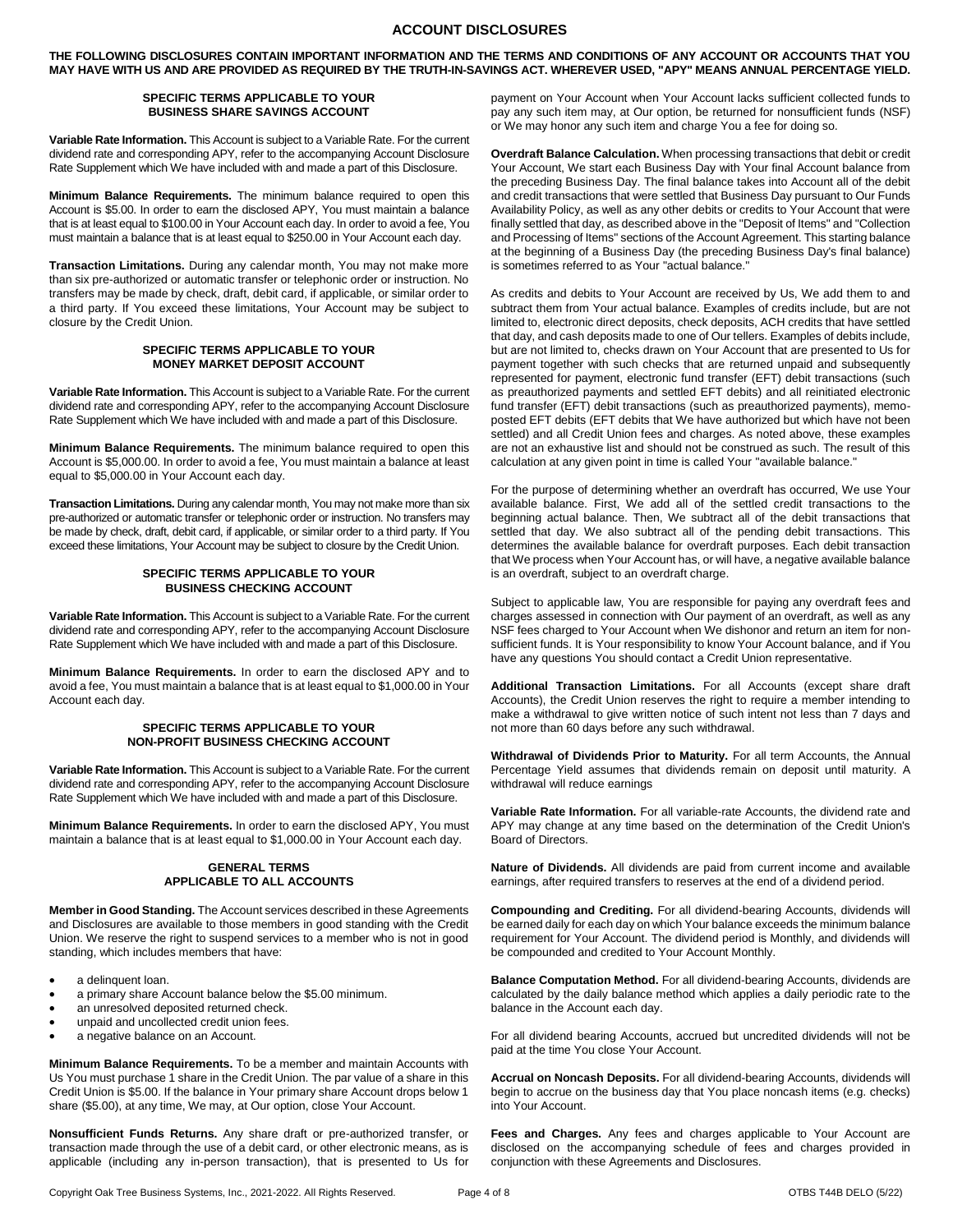# **ACCOUNT DISCLOSURES**

**THE FOLLOWING DISCLOSURES CONTAIN IMPORTANT INFORMATION AND THE TERMS AND CONDITIONS OF ANY ACCOUNT OR ACCOUNTS THAT YOU MAY HAVE WITH US AND ARE PROVIDED AS REQUIRED BY THE TRUTH-IN-SAVINGS ACT. WHEREVER USED, "APY" MEANS ANNUAL PERCENTAGE YIELD.**

#### **SPECIFIC TERMS APPLICABLE TO YOUR BUSINESS SHARE SAVINGS ACCOUNT**

**Variable Rate Information.** This Account is subject to a Variable Rate. For the current dividend rate and corresponding APY, refer to the accompanying Account Disclosure Rate Supplement which We have included with and made a part of this Disclosure.

**Minimum Balance Requirements.** The minimum balance required to open this Account is \$5.00. In order to earn the disclosed APY, You must maintain a balance that is at least equal to \$100.00 in Your Account each day. In order to avoid a fee, You must maintain a balance that is at least equal to \$250.00 in Your Account each day.

**Transaction Limitations.** During any calendar month, You may not make more than six pre-authorized or automatic transfer or telephonic order or instruction. No transfers may be made by check, draft, debit card, if applicable, or similar order to a third party. If You exceed these limitations, Your Account may be subject to closure by the Credit Union.

#### **SPECIFIC TERMS APPLICABLE TO YOUR MONEY MARKET DEPOSIT ACCOUNT**

**Variable Rate Information.** This Account is subject to a Variable Rate. For the current dividend rate and corresponding APY, refer to the accompanying Account Disclosure Rate Supplement which We have included with and made a part of this Disclosure.

**Minimum Balance Requirements.** The minimum balance required to open this Account is \$5,000.00. In order to avoid a fee, You must maintain a balance at least equal to \$5,000.00 in Your Account each day.

**Transaction Limitations.** During any calendar month, You may not make more than six pre-authorized or automatic transfer or telephonic order or instruction. No transfers may be made by check, draft, debit card, if applicable, or similar order to a third party. If You exceed these limitations, Your Account may be subject to closure by the Credit Union.

#### **SPECIFIC TERMS APPLICABLE TO YOUR BUSINESS CHECKING ACCOUNT**

**Variable Rate Information.** This Account is subject to a Variable Rate. For the current dividend rate and corresponding APY, refer to the accompanying Account Disclosure Rate Supplement which We have included with and made a part of this Disclosure.

**Minimum Balance Requirements.** In order to earn the disclosed APY and to avoid a fee, You must maintain a balance that is at least equal to \$1,000.00 in Your Account each day.

#### **SPECIFIC TERMS APPLICABLE TO YOUR NON-PROFIT BUSINESS CHECKING ACCOUNT**

**Variable Rate Information.** This Account is subject to a Variable Rate. For the current dividend rate and corresponding APY, refer to the accompanying Account Disclosure Rate Supplement which We have included with and made a part of this Disclosure.

**Minimum Balance Requirements.** In order to earn the disclosed APY, You must maintain a balance that is at least equal to \$1,000.00 in Your Account each day.

## **GENERAL TERMS APPLICABLE TO ALL ACCOUNTS**

**Member in Good Standing.** The Account services described in these Agreements and Disclosures are available to those members in good standing with the Credit Union. We reserve the right to suspend services to a member who is not in good standing, which includes members that have:

- a delinquent loan.
- a primary share Account balance below the \$5.00 minimum.
- an unresolved deposited returned check.
- unpaid and uncollected credit union fees.
- a negative balance on an Account.

**Minimum Balance Requirements.** To be a member and maintain Accounts with Us You must purchase 1 share in the Credit Union. The par value of a share in this Credit Union is \$5.00. If the balance in Your primary share Account drops below 1 share (\$5.00), at any time, We may, at Our option, close Your Account.

**Nonsufficient Funds Returns.** Any share draft or pre-authorized transfer, or transaction made through the use of a debit card, or other electronic means, as is applicable (including any in-person transaction), that is presented to Us for payment on Your Account when Your Account lacks sufficient collected funds to pay any such item may, at Our option, be returned for nonsufficient funds (NSF) or We may honor any such item and charge You a fee for doing so.

**Overdraft Balance Calculation.** When processing transactions that debit or credit Your Account, We start each Business Day with Your final Account balance from the preceding Business Day. The final balance takes into Account all of the debit and credit transactions that were settled that Business Day pursuant to Our Funds Availability Policy, as well as any other debits or credits to Your Account that were finally settled that day, as described above in the "Deposit of Items" and "Collection and Processing of Items" sections of the Account Agreement. This starting balance at the beginning of a Business Day (the preceding Business Day's final balance) is sometimes referred to as Your "actual balance."

As credits and debits to Your Account are received by Us, We add them to and subtract them from Your actual balance. Examples of credits include, but are not limited to, electronic direct deposits, check deposits, ACH credits that have settled that day, and cash deposits made to one of Our tellers. Examples of debits include, but are not limited to, checks drawn on Your Account that are presented to Us for payment together with such checks that are returned unpaid and subsequently represented for payment, electronic fund transfer (EFT) debit transactions (such as preauthorized payments and settled EFT debits) and all reinitiated electronic fund transfer (EFT) debit transactions (such as preauthorized payments), memoposted EFT debits (EFT debits that We have authorized but which have not been settled) and all Credit Union fees and charges. As noted above, these examples are not an exhaustive list and should not be construed as such. The result of this calculation at any given point in time is called Your "available balance."

For the purpose of determining whether an overdraft has occurred, We use Your available balance. First, We add all of the settled credit transactions to the beginning actual balance. Then, We subtract all of the debit transactions that settled that day. We also subtract all of the pending debit transactions. This determines the available balance for overdraft purposes. Each debit transaction that We process when Your Account has, or will have, a negative available balance is an overdraft, subject to an overdraft charge.

Subject to applicable law, You are responsible for paying any overdraft fees and charges assessed in connection with Our payment of an overdraft, as well as any NSF fees charged to Your Account when We dishonor and return an item for nonsufficient funds. It is Your responsibility to know Your Account balance, and if You have any questions You should contact a Credit Union representative.

**Additional Transaction Limitations.** For all Accounts (except share draft Accounts), the Credit Union reserves the right to require a member intending to make a withdrawal to give written notice of such intent not less than 7 days and not more than 60 days before any such withdrawal.

**Withdrawal of Dividends Prior to Maturity.** For all term Accounts, the Annual Percentage Yield assumes that dividends remain on deposit until maturity. A withdrawal will reduce earnings

**Variable Rate Information.** For all variable-rate Accounts, the dividend rate and APY may change at any time based on the determination of the Credit Union's Board of Directors.

**Nature of Dividends.** All dividends are paid from current income and available earnings, after required transfers to reserves at the end of a dividend period.

**Compounding and Crediting.** For all dividend-bearing Accounts, dividends will be earned daily for each day on which Your balance exceeds the minimum balance requirement for Your Account. The dividend period is Monthly, and dividends will be compounded and credited to Your Account Monthly.

**Balance Computation Method.** For all dividend-bearing Accounts, dividends are calculated by the daily balance method which applies a daily periodic rate to the balance in the Account each day.

For all dividend bearing Accounts, accrued but uncredited dividends will not be paid at the time You close Your Account.

**Accrual on Noncash Deposits.** For all dividend-bearing Accounts, dividends will begin to accrue on the business day that You place noncash items (e.g. checks) into Your Account.

**Fees and Charges.** Any fees and charges applicable to Your Account are disclosed on the accompanying schedule of fees and charges provided in conjunction with these Agreements and Disclosures.

Copyright Oak Tree Business Systems, Inc., 2021-2022. All Rights Reserved. Page 4 of 8 COVERS T44B DELO (5/22)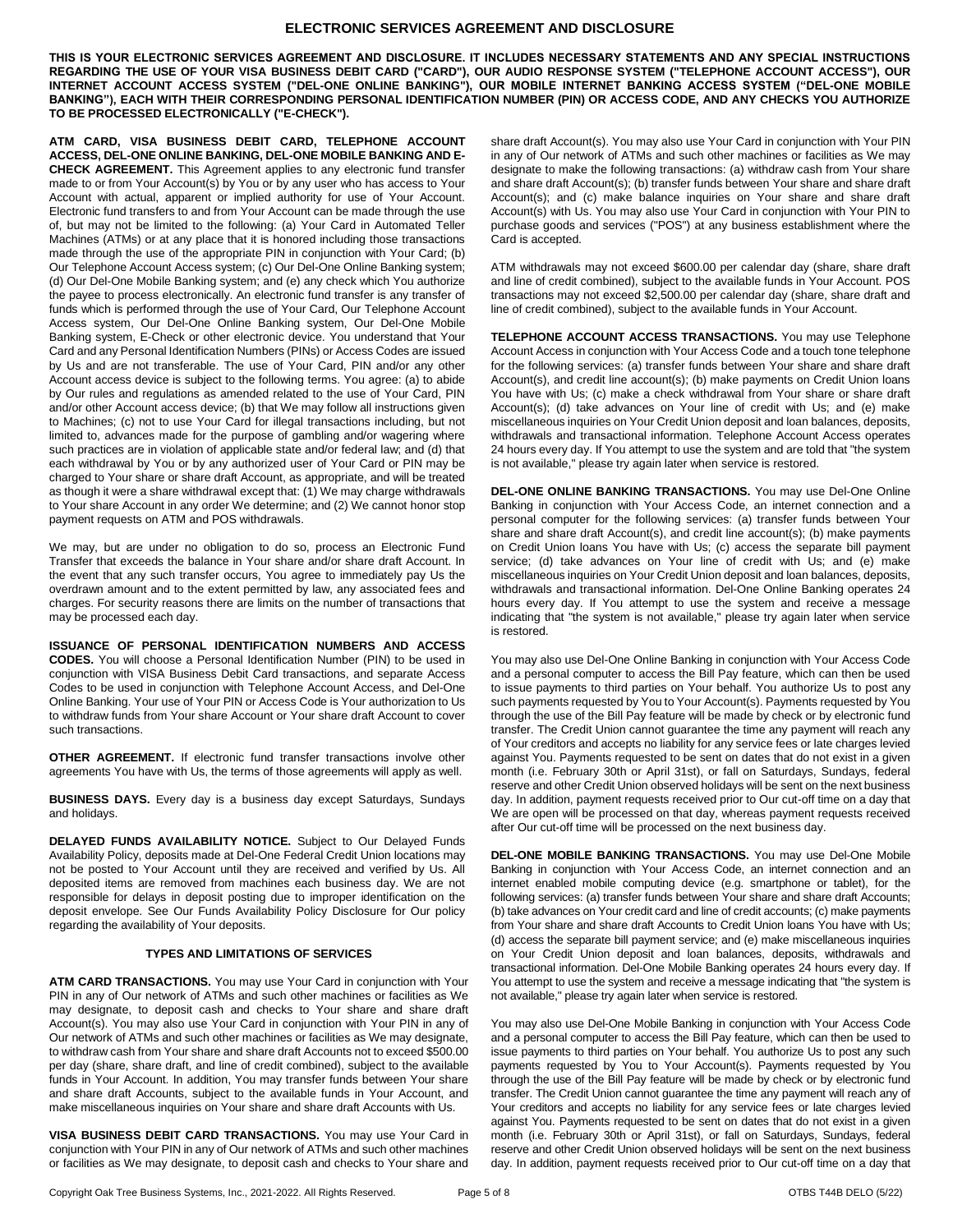#### **ELECTRONIC SERVICES AGREEMENT AND DISCLOSURE**

**THIS IS YOUR ELECTRONIC SERVICES AGREEMENT AND DISCLOSURE. IT INCLUDES NECESSARY STATEMENTS AND ANY SPECIAL INSTRUCTIONS REGARDING THE USE OF YOUR VISA BUSINESS DEBIT CARD ("CARD"), OUR AUDIO RESPONSE SYSTEM ("TELEPHONE ACCOUNT ACCESS"), OUR INTERNET ACCOUNT ACCESS SYSTEM ("DEL-ONE ONLINE BANKING"), OUR MOBILE INTERNET BANKING ACCESS SYSTEM ("DEL-ONE MOBILE BANKING"), EACH WITH THEIR CORRESPONDING PERSONAL IDENTIFICATION NUMBER (PIN) OR ACCESS CODE, AND ANY CHECKS YOU AUTHORIZE TO BE PROCESSED ELECTRONICALLY ("E-CHECK").**

**ATM CARD, VISA BUSINESS DEBIT CARD, TELEPHONE ACCOUNT ACCESS, DEL-ONE ONLINE BANKING, DEL-ONE MOBILE BANKING AND E-CHECK AGREEMENT.** This Agreement applies to any electronic fund transfer made to or from Your Account(s) by You or by any user who has access to Your Account with actual, apparent or implied authority for use of Your Account. Electronic fund transfers to and from Your Account can be made through the use of, but may not be limited to the following: (a) Your Card in Automated Teller Machines (ATMs) or at any place that it is honored including those transactions made through the use of the appropriate PIN in conjunction with Your Card; (b) Our Telephone Account Access system; (c) Our Del-One Online Banking system; (d) Our Del-One Mobile Banking system; and (e) any check which You authorize the payee to process electronically. An electronic fund transfer is any transfer of funds which is performed through the use of Your Card, Our Telephone Account Access system, Our Del-One Online Banking system, Our Del-One Mobile Banking system, E-Check or other electronic device. You understand that Your Card and any Personal Identification Numbers (PINs) or Access Codes are issued by Us and are not transferable. The use of Your Card, PIN and/or any other Account access device is subject to the following terms. You agree: (a) to abide by Our rules and regulations as amended related to the use of Your Card, PIN and/or other Account access device; (b) that We may follow all instructions given to Machines; (c) not to use Your Card for illegal transactions including, but not limited to, advances made for the purpose of gambling and/or wagering where such practices are in violation of applicable state and/or federal law; and (d) that each withdrawal by You or by any authorized user of Your Card or PIN may be charged to Your share or share draft Account, as appropriate, and will be treated as though it were a share withdrawal except that: (1) We may charge withdrawals to Your share Account in any order We determine; and (2) We cannot honor stop payment requests on ATM and POS withdrawals.

We may, but are under no obligation to do so, process an Electronic Fund Transfer that exceeds the balance in Your share and/or share draft Account. In the event that any such transfer occurs, You agree to immediately pay Us the overdrawn amount and to the extent permitted by law, any associated fees and charges. For security reasons there are limits on the number of transactions that may be processed each day.

**ISSUANCE OF PERSONAL IDENTIFICATION NUMBERS AND ACCESS CODES.** You will choose a Personal Identification Number (PIN) to be used in conjunction with VISA Business Debit Card transactions, and separate Access Codes to be used in conjunction with Telephone Account Access, and Del-One Online Banking. Your use of Your PIN or Access Code is Your authorization to Us to withdraw funds from Your share Account or Your share draft Account to cover such transactions.

**OTHER AGREEMENT.** If electronic fund transfer transactions involve other agreements You have with Us, the terms of those agreements will apply as well.

**BUSINESS DAYS.** Every day is a business day except Saturdays, Sundays and holidays.

**DELAYED FUNDS AVAILABILITY NOTICE.** Subject to Our Delayed Funds Availability Policy, deposits made at Del-One Federal Credit Union locations may not be posted to Your Account until they are received and verified by Us. All deposited items are removed from machines each business day. We are not responsible for delays in deposit posting due to improper identification on the deposit envelope. See Our Funds Availability Policy Disclosure for Our policy regarding the availability of Your deposits.

#### **TYPES AND LIMITATIONS OF SERVICES**

**ATM CARD TRANSACTIONS.** You may use Your Card in conjunction with Your PIN in any of Our network of ATMs and such other machines or facilities as We may designate, to deposit cash and checks to Your share and share draft Account(s). You may also use Your Card in conjunction with Your PIN in any of Our network of ATMs and such other machines or facilities as We may designate, to withdraw cash from Your share and share draft Accounts not to exceed \$500.00 per day (share, share draft, and line of credit combined), subject to the available funds in Your Account. In addition, You may transfer funds between Your share and share draft Accounts, subject to the available funds in Your Account, and make miscellaneous inquiries on Your share and share draft Accounts with Us.

**VISA BUSINESS DEBIT CARD TRANSACTIONS.** You may use Your Card in conjunction with Your PIN in any of Our network of ATMs and such other machines or facilities as We may designate, to deposit cash and checks to Your share and

share draft Account(s). You may also use Your Card in conjunction with Your PIN in any of Our network of ATMs and such other machines or facilities as We may designate to make the following transactions: (a) withdraw cash from Your share and share draft Account(s); (b) transfer funds between Your share and share draft Account(s); and (c) make balance inquiries on Your share and share draft Account(s) with Us. You may also use Your Card in conjunction with Your PIN to purchase goods and services ("POS") at any business establishment where the Card is accepted.

ATM withdrawals may not exceed \$600.00 per calendar day (share, share draft and line of credit combined), subject to the available funds in Your Account. POS transactions may not exceed \$2,500.00 per calendar day (share, share draft and line of credit combined), subject to the available funds in Your Account.

**TELEPHONE ACCOUNT ACCESS TRANSACTIONS.** You may use Telephone Account Access in conjunction with Your Access Code and a touch tone telephone for the following services: (a) transfer funds between Your share and share draft Account(s), and credit line account(s); (b) make payments on Credit Union loans You have with Us; (c) make a check withdrawal from Your share or share draft Account(s); (d) take advances on Your line of credit with Us; and (e) make miscellaneous inquiries on Your Credit Union deposit and loan balances, deposits, withdrawals and transactional information. Telephone Account Access operates 24 hours every day. If You attempt to use the system and are told that "the system is not available," please try again later when service is restored.

**DEL-ONE ONLINE BANKING TRANSACTIONS.** You may use Del-One Online Banking in conjunction with Your Access Code, an internet connection and a personal computer for the following services: (a) transfer funds between Your share and share draft Account(s), and credit line account(s); (b) make payments on Credit Union loans You have with Us; (c) access the separate bill payment service; (d) take advances on Your line of credit with Us; and (e) make miscellaneous inquiries on Your Credit Union deposit and loan balances, deposits, withdrawals and transactional information. Del-One Online Banking operates 24 hours every day. If You attempt to use the system and receive a message indicating that "the system is not available," please try again later when service is restored.

You may also use Del-One Online Banking in conjunction with Your Access Code and a personal computer to access the Bill Pay feature, which can then be used to issue payments to third parties on Your behalf. You authorize Us to post any such payments requested by You to Your Account(s). Payments requested by You through the use of the Bill Pay feature will be made by check or by electronic fund transfer. The Credit Union cannot guarantee the time any payment will reach any of Your creditors and accepts no liability for any service fees or late charges levied against You. Payments requested to be sent on dates that do not exist in a given month (i.e. February 30th or April 31st), or fall on Saturdays, Sundays, federal reserve and other Credit Union observed holidays will be sent on the next business day. In addition, payment requests received prior to Our cut-off time on a day that We are open will be processed on that day, whereas payment requests received after Our cut-off time will be processed on the next business day.

**DEL-ONE MOBILE BANKING TRANSACTIONS.** You may use Del-One Mobile Banking in conjunction with Your Access Code, an internet connection and an internet enabled mobile computing device (e.g. smartphone or tablet), for the following services: (a) transfer funds between Your share and share draft Accounts; (b) take advances on Your credit card and line of credit accounts; (c) make payments from Your share and share draft Accounts to Credit Union loans You have with Us; (d) access the separate bill payment service; and (e) make miscellaneous inquiries on Your Credit Union deposit and loan balances, deposits, withdrawals and transactional information. Del-One Mobile Banking operates 24 hours every day. If You attempt to use the system and receive a message indicating that "the system is not available," please try again later when service is restored.

You may also use Del-One Mobile Banking in conjunction with Your Access Code and a personal computer to access the Bill Pay feature, which can then be used to issue payments to third parties on Your behalf. You authorize Us to post any such payments requested by You to Your Account(s). Payments requested by You through the use of the Bill Pay feature will be made by check or by electronic fund transfer. The Credit Union cannot guarantee the time any payment will reach any of Your creditors and accepts no liability for any service fees or late charges levied against You. Payments requested to be sent on dates that do not exist in a given month (i.e. February 30th or April 31st), or fall on Saturdays, Sundays, federal reserve and other Credit Union observed holidays will be sent on the next business day. In addition, payment requests received prior to Our cut-off time on a day that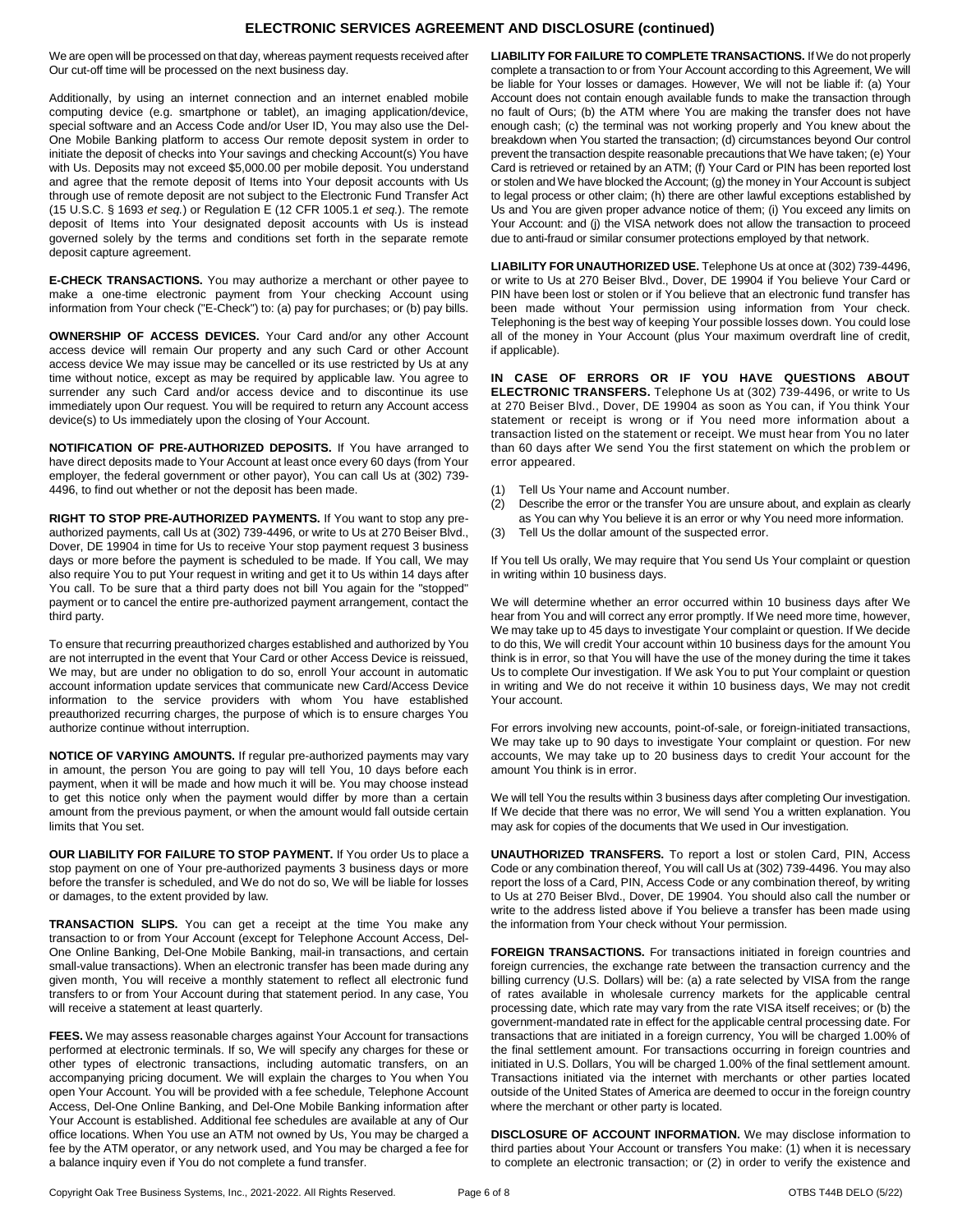## **ELECTRONIC SERVICES AGREEMENT AND DISCLOSURE (continued)**

We are open will be processed on that day, whereas payment requests received after Our cut-off time will be processed on the next business day.

Additionally, by using an internet connection and an internet enabled mobile computing device (e.g. smartphone or tablet), an imaging application/device, special software and an Access Code and/or User ID, You may also use the Del-One Mobile Banking platform to access Our remote deposit system in order to initiate the deposit of checks into Your savings and checking Account(s) You have with Us. Deposits may not exceed \$5,000.00 per mobile deposit. You understand and agree that the remote deposit of Items into Your deposit accounts with Us through use of remote deposit are not subject to the Electronic Fund Transfer Act (15 U.S.C. § 1693 *et seq.*) or Regulation E (12 CFR 1005.1 *et seq.*). The remote deposit of Items into Your designated deposit accounts with Us is instead governed solely by the terms and conditions set forth in the separate remote deposit capture agreement.

**E-CHECK TRANSACTIONS.** You may authorize a merchant or other payee to make a one-time electronic payment from Your checking Account using information from Your check ("E-Check") to: (a) pay for purchases; or (b) pay bills.

**OWNERSHIP OF ACCESS DEVICES.** Your Card and/or any other Account access device will remain Our property and any such Card or other Account access device We may issue may be cancelled or its use restricted by Us at any time without notice, except as may be required by applicable law. You agree to surrender any such Card and/or access device and to discontinue its use immediately upon Our request. You will be required to return any Account access device(s) to Us immediately upon the closing of Your Account.

**NOTIFICATION OF PRE-AUTHORIZED DEPOSITS.** If You have arranged to have direct deposits made to Your Account at least once every 60 days (from Your employer, the federal government or other payor), You can call Us at (302) 739- 4496, to find out whether or not the deposit has been made.

**RIGHT TO STOP PRE-AUTHORIZED PAYMENTS.** If You want to stop any preauthorized payments, call Us at (302) 739-4496, or write to Us at 270 Beiser Blvd., Dover, DE 19904 in time for Us to receive Your stop payment request 3 business days or more before the payment is scheduled to be made. If You call, We may also require You to put Your request in writing and get it to Us within 14 days after You call. To be sure that a third party does not bill You again for the "stopped" payment or to cancel the entire pre-authorized payment arrangement, contact the third party.

To ensure that recurring preauthorized charges established and authorized by You are not interrupted in the event that Your Card or other Access Device is reissued, We may, but are under no obligation to do so, enroll Your account in automatic account information update services that communicate new Card/Access Device information to the service providers with whom You have established preauthorized recurring charges, the purpose of which is to ensure charges You authorize continue without interruption.

**NOTICE OF VARYING AMOUNTS.** If regular pre-authorized payments may vary in amount, the person You are going to pay will tell You, 10 days before each payment, when it will be made and how much it will be. You may choose instead to get this notice only when the payment would differ by more than a certain amount from the previous payment, or when the amount would fall outside certain limits that You set.

**OUR LIABILITY FOR FAILURE TO STOP PAYMENT.** If You order Us to place a stop payment on one of Your pre-authorized payments 3 business days or more before the transfer is scheduled, and We do not do so, We will be liable for losses or damages, to the extent provided by law.

**TRANSACTION SLIPS.** You can get a receipt at the time You make any transaction to or from Your Account (except for Telephone Account Access, Del-One Online Banking, Del-One Mobile Banking, mail-in transactions, and certain small-value transactions). When an electronic transfer has been made during any given month, You will receive a monthly statement to reflect all electronic fund transfers to or from Your Account during that statement period. In any case, You will receive a statement at least quarterly.

**FEES.** We may assess reasonable charges against Your Account for transactions performed at electronic terminals. If so, We will specify any charges for these or other types of electronic transactions, including automatic transfers, on an accompanying pricing document. We will explain the charges to You when You open Your Account. You will be provided with a fee schedule, Telephone Account Access, Del-One Online Banking, and Del-One Mobile Banking information after Your Account is established. Additional fee schedules are available at any of Our office locations. When You use an ATM not owned by Us, You may be charged a fee by the ATM operator, or any network used, and You may be charged a fee for a balance inquiry even if You do not complete a fund transfer.

**LIABILITY FOR FAILURE TO COMPLETE TRANSACTIONS.** If We do not properly complete a transaction to or from Your Account according to this Agreement, We will be liable for Your losses or damages. However, We will not be liable if: (a) Your Account does not contain enough available funds to make the transaction through no fault of Ours; (b) the ATM where You are making the transfer does not have enough cash; (c) the terminal was not working properly and You knew about the breakdown when You started the transaction; (d) circumstances beyond Our control prevent the transaction despite reasonable precautions that We have taken; (e) Your Card is retrieved or retained by an ATM; (f) Your Card or PIN has been reported lost or stolen and We have blocked the Account; (g) the money in Your Account is subject to legal process or other claim; (h) there are other lawful exceptions established by Us and You are given proper advance notice of them; (i) You exceed any limits on Your Account: and (j) the VISA network does not allow the transaction to proceed due to anti-fraud or similar consumer protections employed by that network.

**LIABILITY FOR UNAUTHORIZED USE.** Telephone Us at once at (302) 739-4496, or write to Us at 270 Beiser Blvd., Dover, DE 19904 if You believe Your Card or PIN have been lost or stolen or if You believe that an electronic fund transfer has been made without Your permission using information from Your check. Telephoning is the best way of keeping Your possible losses down. You could lose all of the money in Your Account (plus Your maximum overdraft line of credit, if applicable).

**IN CASE OF ERRORS OR IF YOU HAVE QUESTIONS ABOUT ELECTRONIC TRANSFERS.** Telephone Us at (302) 739-4496, or write to Us at 270 Beiser Blvd., Dover, DE 19904 as soon as You can, if You think Your statement or receipt is wrong or if You need more information about a transaction listed on the statement or receipt. We must hear from You no later than 60 days after We send You the first statement on which the problem or error appeared.

- (1) Tell Us Your name and Account number.
- (2) Describe the error or the transfer You are unsure about, and explain as clearly as You can why You believe it is an error or why You need more information.
- (3) Tell Us the dollar amount of the suspected error.

If You tell Us orally, We may require that You send Us Your complaint or question in writing within 10 business days.

We will determine whether an error occurred within 10 business days after We hear from You and will correct any error promptly. If We need more time, however, We may take up to 45 days to investigate Your complaint or question. If We decide to do this, We will credit Your account within 10 business days for the amount You think is in error, so that You will have the use of the money during the time it takes Us to complete Our investigation. If We ask You to put Your complaint or question in writing and We do not receive it within 10 business days, We may not credit Your account.

For errors involving new accounts, point-of-sale, or foreign-initiated transactions, We may take up to 90 days to investigate Your complaint or question. For new accounts, We may take up to 20 business days to credit Your account for the amount You think is in error.

We will tell You the results within 3 business days after completing Our investigation. If We decide that there was no error, We will send You a written explanation. You may ask for copies of the documents that We used in Our investigation.

**UNAUTHORIZED TRANSFERS.** To report a lost or stolen Card, PIN, Access Code or any combination thereof, You will call Us at (302) 739-4496. You may also report the loss of a Card, PIN, Access Code or any combination thereof, by writing to Us at 270 Beiser Blvd., Dover, DE 19904. You should also call the number or write to the address listed above if You believe a transfer has been made using the information from Your check without Your permission.

**FOREIGN TRANSACTIONS.** For transactions initiated in foreign countries and foreign currencies, the exchange rate between the transaction currency and the billing currency (U.S. Dollars) will be: (a) a rate selected by VISA from the range of rates available in wholesale currency markets for the applicable central processing date, which rate may vary from the rate VISA itself receives; or (b) the government-mandated rate in effect for the applicable central processing date. For transactions that are initiated in a foreign currency, You will be charged 1.00% of the final settlement amount. For transactions occurring in foreign countries and initiated in U.S. Dollars, You will be charged 1.00% of the final settlement amount. Transactions initiated via the internet with merchants or other parties located outside of the United States of America are deemed to occur in the foreign country where the merchant or other party is located.

**DISCLOSURE OF ACCOUNT INFORMATION.** We may disclose information to third parties about Your Account or transfers You make: (1) when it is necessary to complete an electronic transaction; or (2) in order to verify the existence and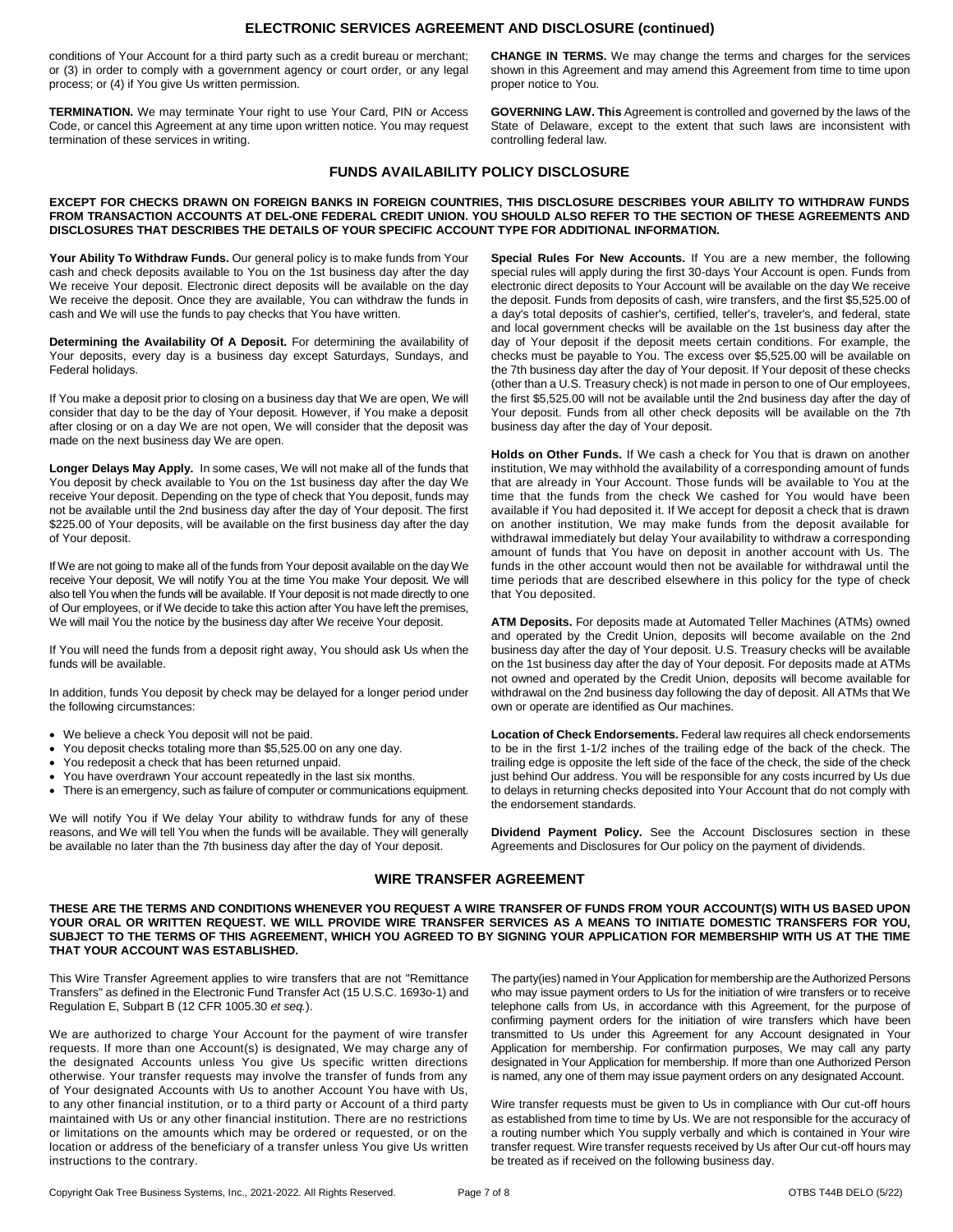## **ELECTRONIC SERVICES AGREEMENT AND DISCLOSURE (continued)**

conditions of Your Account for a third party such as a credit bureau or merchant; or (3) in order to comply with a government agency or court order, or any legal process; or (4) if You give Us written permission.

**TERMINATION.** We may terminate Your right to use Your Card, PIN or Access Code, or cancel this Agreement at any time upon written notice. You may request termination of these services in writing.

**CHANGE IN TERMS.** We may change the terms and charges for the services shown in this Agreement and may amend this Agreement from time to time upon proper notice to You.

**GOVERNING LAW. This** Agreement is controlled and governed by the laws of the State of Delaware, except to the extent that such laws are inconsistent with controlling federal law.

## **FUNDS AVAILABILITY POLICY DISCLOSURE**

#### **EXCEPT FOR CHECKS DRAWN ON FOREIGN BANKS IN FOREIGN COUNTRIES, THIS DISCLOSURE DESCRIBES YOUR ABILITY TO WITHDRAW FUNDS FROM TRANSACTION ACCOUNTS AT DEL-ONE FEDERAL CREDIT UNION. YOU SHOULD ALSO REFER TO THE SECTION OF THESE AGREEMENTS AND DISCLOSURES THAT DESCRIBES THE DETAILS OF YOUR SPECIFIC ACCOUNT TYPE FOR ADDITIONAL INFORMATION.**

**Your Ability To Withdraw Funds.** Our general policy is to make funds from Your cash and check deposits available to You on the 1st business day after the day We receive Your deposit. Electronic direct deposits will be available on the day We receive the deposit. Once they are available, You can withdraw the funds in cash and We will use the funds to pay checks that You have written.

**Determining the Availability Of A Deposit.** For determining the availability of Your deposits, every day is a business day except Saturdays, Sundays, and Federal holidays.

If You make a deposit prior to closing on a business day that We are open, We will consider that day to be the day of Your deposit. However, if You make a deposit after closing or on a day We are not open, We will consider that the deposit was made on the next business day We are open.

**Longer Delays May Apply.** In some cases, We will not make all of the funds that You deposit by check available to You on the 1st business day after the day We receive Your deposit. Depending on the type of check that You deposit, funds may not be available until the 2nd business day after the day of Your deposit. The first \$225.00 of Your deposits, will be available on the first business day after the day of Your deposit.

If We are not going to make all of the funds from Your deposit available on the day We receive Your deposit, We will notify You at the time You make Your deposit. We will also tell You when the funds will be available. If Your deposit is not made directly to one of Our employees, or if We decide to take this action after You have left the premises, We will mail You the notice by the business day after We receive Your deposit.

If You will need the funds from a deposit right away, You should ask Us when the funds will be available.

In addition, funds You deposit by check may be delayed for a longer period under the following circumstances:

- We believe a check You deposit will not be paid.
- You deposit checks totaling more than \$5,525.00 on any one day.
- You redeposit a check that has been returned unpaid.
- You have overdrawn Your account repeatedly in the last six months.
- There is an emergency, such as failure of computer or communications equipment.

We will notify You if We delay Your ability to withdraw funds for any of these reasons, and We will tell You when the funds will be available. They will generally be available no later than the 7th business day after the day of Your deposit.

**Special Rules For New Accounts.** If You are a new member, the following special rules will apply during the first 30-days Your Account is open. Funds from electronic direct deposits to Your Account will be available on the day We receive the deposit. Funds from deposits of cash, wire transfers, and the first \$5,525.00 of a day's total deposits of cashier's, certified, teller's, traveler's, and federal, state and local government checks will be available on the 1st business day after the day of Your deposit if the deposit meets certain conditions. For example, the checks must be payable to You. The excess over \$5,525.00 will be available on the 7th business day after the day of Your deposit. If Your deposit of these checks (other than a U.S. Treasury check) is not made in person to one of Our employees, the first \$5,525.00 will not be available until the 2nd business day after the day of Your deposit. Funds from all other check deposits will be available on the 7th business day after the day of Your deposit.

**Holds on Other Funds.** If We cash a check for You that is drawn on another institution, We may withhold the availability of a corresponding amount of funds that are already in Your Account. Those funds will be available to You at the time that the funds from the check We cashed for You would have been available if You had deposited it. If We accept for deposit a check that is drawn on another institution, We may make funds from the deposit available for withdrawal immediately but delay Your availability to withdraw a corresponding amount of funds that You have on deposit in another account with Us. The funds in the other account would then not be available for withdrawal until the time periods that are described elsewhere in this policy for the type of check that You deposited.

**ATM Deposits.** For deposits made at Automated Teller Machines (ATMs) owned and operated by the Credit Union, deposits will become available on the 2nd business day after the day of Your deposit. U.S. Treasury checks will be available on the 1st business day after the day of Your deposit. For deposits made at ATMs not owned and operated by the Credit Union, deposits will become available for withdrawal on the 2nd business day following the day of deposit. All ATMs that We own or operate are identified as Our machines.

**Location of Check Endorsements.** Federal law requires all check endorsements to be in the first 1-1/2 inches of the trailing edge of the back of the check. The trailing edge is opposite the left side of the face of the check, the side of the check just behind Our address. You will be responsible for any costs incurred by Us due to delays in returning checks deposited into Your Account that do not comply with the endorsement standards.

**Dividend Payment Policy.** See the Account Disclosures section in these Agreements and Disclosures for Our policy on the payment of dividends.

## **WIRE TRANSFER AGREEMENT**

#### **THESE ARE THE TERMS AND CONDITIONS WHENEVER YOU REQUEST A WIRE TRANSFER OF FUNDS FROM YOUR ACCOUNT(S) WITH US BASED UPON YOUR ORAL OR WRITTEN REQUEST. WE WILL PROVIDE WIRE TRANSFER SERVICES AS A MEANS TO INITIATE DOMESTIC TRANSFERS FOR YOU, SUBJECT TO THE TERMS OF THIS AGREEMENT, WHICH YOU AGREED TO BY SIGNING YOUR APPLICATION FOR MEMBERSHIP WITH US AT THE TIME THAT YOUR ACCOUNT WAS ESTABLISHED.**

This Wire Transfer Agreement applies to wire transfers that are not "Remittance Transfers" as defined in the Electronic Fund Transfer Act (15 U.S.C. 1693o-1) and Regulation E, Subpart B (12 CFR 1005.30 *et seq.*).

We are authorized to charge Your Account for the payment of wire transfer requests. If more than one Account(s) is designated, We may charge any of the designated Accounts unless You give Us specific written directions otherwise. Your transfer requests may involve the transfer of funds from any of Your designated Accounts with Us to another Account You have with Us, to any other financial institution, or to a third party or Account of a third party maintained with Us or any other financial institution. There are no restrictions or limitations on the amounts which may be ordered or requested, or on the location or address of the beneficiary of a transfer unless You give Us written instructions to the contrary.

The party(ies) named in Your Application for membership are the Authorized Persons who may issue payment orders to Us for the initiation of wire transfers or to receive telephone calls from Us, in accordance with this Agreement, for the purpose of confirming payment orders for the initiation of wire transfers which have been transmitted to Us under this Agreement for any Account designated in Your Application for membership. For confirmation purposes, We may call any party designated in Your Application for membership. If more than one Authorized Person is named, any one of them may issue payment orders on any designated Account.

Wire transfer requests must be given to Us in compliance with Our cut-off hours as established from time to time by Us. We are not responsible for the accuracy of a routing number which You supply verbally and which is contained in Your wire transfer request. Wire transfer requests received by Us after Our cut-off hours may be treated as if received on the following business day.